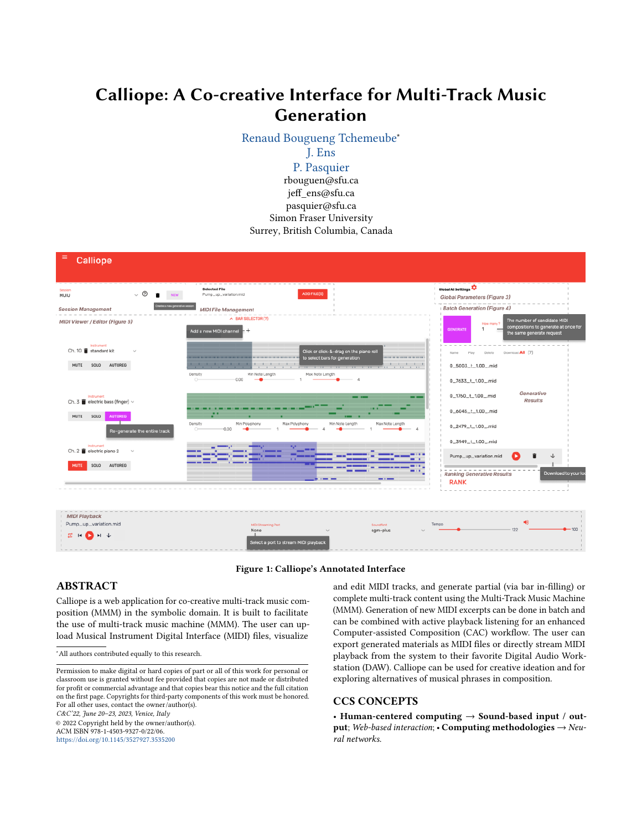# Calliope: A Co-creative Interface for Multi-Track Music Generation

[Renaud Bougueng Tchemeube](https://orcid.org/0000-0001-8337-489X)<sup>∗</sup>

# [J. Ens](https://orcid.org/0000-0003-0673-4286)

[P. Pasquier](https://orcid.org/0000-0001-8675-3561) rbouguen@sfu.ca jeff\_ens@sfu.ca pasquier@sfu.ca Simon Fraser University Surrey, British Columbia, Canada

<span id="page-0-0"></span>

# Figure 1: Calliope's Annotated Interface

# ABSTRACT

Calliope is a web application for co-creative multi-track music composition (MMM) in the symbolic domain. It is built to facilitate the use of multi-track music machine (MMM). The user can upload Musical Instrument Digital Interface (MIDI) files, visualize

<sup>∗</sup>All authors contributed equally to this research.

C&C'22, June 20–23, 2023, Venice, Italy © 2022 Copyright held by the owner/author(s). ACM ISBN 978-1-4503-9327-0/22/06.

<https://doi.org/10.1145/3527927.3535200>

and edit MIDI tracks, and generate partial (via bar in-filling) or complete multi-track content using the Multi-Track Music Machine (MMM). Generation of new MIDI excerpts can be done in batch and can be combined with active playback listening for an enhanced Computer-assisted Composition (CAC) workflow. The user can export generated materials as MIDI files or directly stream MIDI playback from the system to their favorite Digital Audio Workstation (DAW). Calliope can be used for creative ideation and for exploring alternatives of musical phrases in composition.

# CCS CONCEPTS

• Human-centered computing  $\rightarrow$  Sound-based input / output; Web-based interaction;  $\cdot$  Computing methodologies  $\rightarrow$  Neural networks.

Permission to make digital or hard copies of part or all of this work for personal or classroom use is granted without fee provided that copies are not made or distributed for profit or commercial advantage and that copies bear this notice and the full citation on the first page. Copyrights for third-party components of this work must be honored. For all other uses, contact the owner/author(s).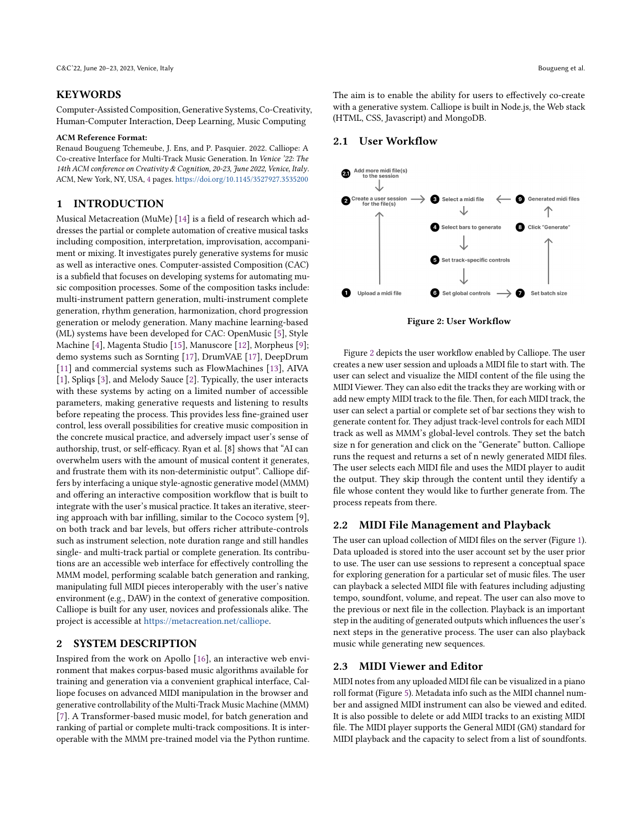#### KEYWORDS

Computer-Assisted Composition, Generative Systems, Co-Creativity, Human-Computer Interaction, Deep Learning, Music Computing

#### ACM Reference Format:

Renaud Bougueng Tchemeube, J. Ens, and P. Pasquier. 2022. Calliope: A Co-creative Interface for Multi-Track Music Generation. In Venice '22: The 14th ACM conference on Creativity & Cognition, 20-23, June 2022, Venice, Italy. ACM, New York, NY, USA, [4](#page-3-0) pages. <https://doi.org/10.1145/3527927.3535200>

#### 1 INTRODUCTION

Musical Metacreation (MuMe) [\[14\]](#page-3-1) is a field of research which addresses the partial or complete automation of creative musical tasks including composition, interpretation, improvisation, accompaniment or mixing. It investigates purely generative systems for music as well as interactive ones. Computer-assisted Composition (CAC) is a subfield that focuses on developing systems for automating music composition processes. Some of the composition tasks include: multi-instrument pattern generation, multi-instrument complete generation, rhythm generation, harmonization, chord progression generation or melody generation. Many machine learning-based (ML) systems have been developed for CAC: OpenMusic [\[5\]](#page-3-2), Style Machine [\[4\]](#page-3-3), Magenta Studio [\[15\]](#page-3-4), Manuscore [\[12\]](#page-3-5), Morpheus [\[9\]](#page-3-6); demo systems such as Sornting [\[17\]](#page-3-7), DrumVAE [\[17\]](#page-3-7), DeepDrum [\[11\]](#page-3-8) and commercial systems such as FlowMachines [\[13\]](#page-3-9), AIVA [\[1\]](#page-3-10), Spliqs [\[3\]](#page-3-11), and Melody Sauce [\[2\]](#page-3-12). Typically, the user interacts with these systems by acting on a limited number of accessible parameters, making generative requests and listening to results before repeating the process. This provides less fine-grained user control, less overall possibilities for creative music composition in the concrete musical practice, and adversely impact user's sense of authorship, trust, or self-efficacy. Ryan et al. [8] shows that "AI can overwhelm users with the amount of musical content it generates, and frustrate them with its non-deterministic output". Calliope differs by interfacing a unique style-agnostic generative model (MMM) and offering an interactive composition workflow that is built to integrate with the user's musical practice. It takes an iterative, steering approach with bar infilling, similar to the Cococo system [9], on both track and bar levels, but offers richer attribute-controls such as instrument selection, note duration range and still handles single- and multi-track partial or complete generation. Its contributions are an accessible web interface for effectively controlling the MMM model, performing scalable batch generation and ranking, manipulating full MIDI pieces interoperably with the user's native environment (e.g., DAW) in the context of generative composition. Calliope is built for any user, novices and professionals alike. The project is accessible at [https://metacreation.net/calliope.](https://metacreation.net/calliope)

# 2 SYSTEM DESCRIPTION

Inspired from the work on Apollo [\[16\]](#page-3-13), an interactive web environment that makes corpus-based music algorithms available for training and generation via a convenient graphical interface, Calliope focuses on advanced MIDI manipulation in the browser and generative controllability of the Multi-Track Music Machine (MMM) [\[7\]](#page-3-14). A Transformer-based music model, for batch generation and ranking of partial or complete multi-track compositions. It is interoperable with the MMM pre-trained model via the Python runtime. The aim is to enable the ability for users to effectively co-create with a generative system. Calliope is built in Node.js, the Web stack (HTML, CSS, Javascript) and MongoDB.

#### 2.1 User Workflow

<span id="page-1-0"></span>

Figure [2](#page-1-0) depicts the user workflow enabled by Calliope. The user creates a new user session and uploads a MIDI file to start with. The user can select and visualize the MIDI content of the file using the MIDI Viewer. They can also edit the tracks they are working with or add new empty MIDI track to the file. Then, for each MIDI track, the user can select a partial or complete set of bar sections they wish to generate content for. They adjust track-level controls for each MIDI track as well as MMM's global-level controls. They set the batch size n for generation and click on the "Generate" button. Calliope runs the request and returns a set of n newly generated MIDI files. The user selects each MIDI file and uses the MIDI player to audit the output. They skip through the content until they identify a file whose content they would like to further generate from. The process repeats from there.

# 2.2 MIDI File Management and Playback

The user can upload collection of MIDI files on the server (Figure [1\)](#page-0-0). Data uploaded is stored into the user account set by the user prior to use. The user can use sessions to represent a conceptual space for exploring generation for a particular set of music files. The user can playback a selected MIDI file with features including adjusting tempo, soundfont, volume, and repeat. The user can also move to the previous or next file in the collection. Playback is an important step in the auditing of generated outputs which influences the user's next steps in the generative process. The user can also playback music while generating new sequences.

#### 2.3 MIDI Viewer and Editor

MIDI notes from any uploaded MIDI file can be visualized in a piano roll format (Figure [5\)](#page-2-0). Metadata info such as the MIDI channel number and assigned MIDI instrument can also be viewed and edited. It is also possible to delete or add MIDI tracks to an existing MIDI file. The MIDI player supports the General MIDI (GM) standard for MIDI playback and the capacity to select from a list of soundfonts.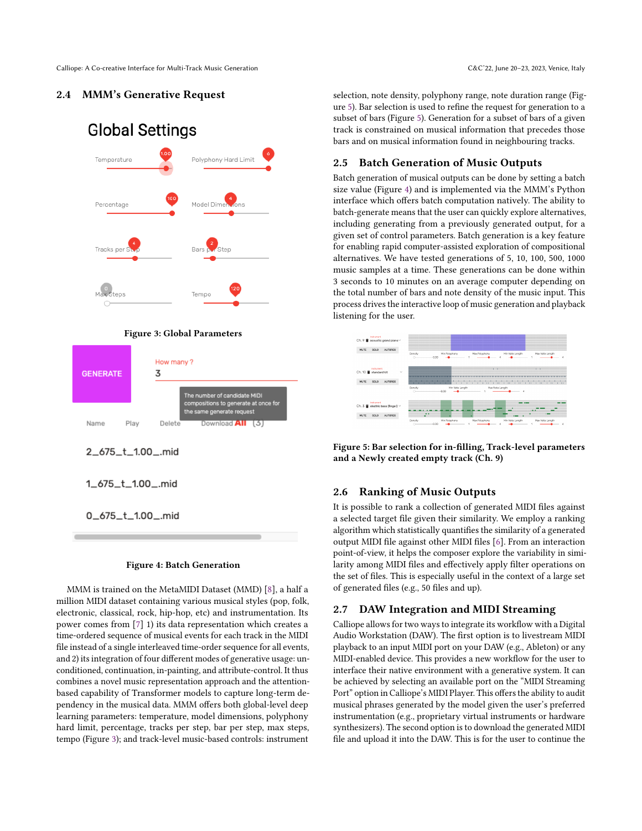Calliope: A Co-creative Interface for Multi-Track Music Generation C&C'22, June 20-23, 2023, Venice, Italy

# <span id="page-2-1"></span>2.4 MMM's Generative Request



#### Figure 3: Global Parameters



### Figure 4: Batch Generation

MMM is trained on the MetaMIDI Dataset (MMD) [\[8\]](#page-3-15), a half a million MIDI dataset containing various musical styles (pop, folk, electronic, classical, rock, hip-hop, etc) and instrumentation. Its power comes from [\[7\]](#page-3-14) 1) its data representation which creates a time-ordered sequence of musical events for each track in the MIDI file instead of a single interleaved time-order sequence for all events, and 2) its integration of four different modes of generative usage: unconditioned, continuation, in-painting, and attribute-control. It thus combines a novel music representation approach and the attentionbased capability of Transformer models to capture long-term dependency in the musical data. MMM offers both global-level deep learning parameters: temperature, model dimensions, polyphony hard limit, percentage, tracks per step, bar per step, max steps, tempo (Figure [3\)](#page-2-1); and track-level music-based controls: instrument

selection, note density, polyphony range, note duration range (Figure [5\)](#page-2-0). Bar selection is used to refine the request for generation to a subset of bars (Figure [5\)](#page-2-0). Generation for a subset of bars of a given track is constrained on musical information that precedes those bars and on musical information found in neighbouring tracks.

# 2.5 Batch Generation of Music Outputs

Batch generation of musical outputs can be done by setting a batch size value (Figure [4\)](#page-2-1) and is implemented via the MMM's Python interface which offers batch computation natively. The ability to batch-generate means that the user can quickly explore alternatives, including generating from a previously generated output, for a given set of control parameters. Batch generation is a key feature for enabling rapid computer-assisted exploration of compositional alternatives. We have tested generations of 5, 10, 100, 500, 1000 music samples at a time. These generations can be done within 3 seconds to 10 minutes on an average computer depending on the total number of bars and note density of the music input. This process drives the interactive loop of music generation and playback listening for the user.

<span id="page-2-0"></span>

Figure 5: Bar selection for in-filling, Track-level parameters and a Newly created empty track (Ch. 9)

# 2.6 Ranking of Music Outputs

It is possible to rank a collection of generated MIDI files against a selected target file given their similarity. We employ a ranking algorithm which statistically quantifies the similarity of a generated output MIDI file against other MIDI files [\[6\]](#page-3-16). From an interaction point-of-view, it helps the composer explore the variability in similarity among MIDI files and effectively apply filter operations on the set of files. This is especially useful in the context of a large set of generated files (e.g., 50 files and up).

# 2.7 DAW Integration and MIDI Streaming

Calliope allows for two ways to integrate its workflow with a Digital Audio Workstation (DAW). The first option is to livestream MIDI playback to an input MIDI port on your DAW (e.g., Ableton) or any MIDI-enabled device. This provides a new workflow for the user to interface their native environment with a generative system. It can be achieved by selecting an available port on the "MIDI Streaming Port" option in Calliope's MIDI Player. This offers the ability to audit musical phrases generated by the model given the user's preferred instrumentation (e.g., proprietary virtual instruments or hardware synthesizers). The second option is to download the generated MIDI file and upload it into the DAW. This is for the user to continue the